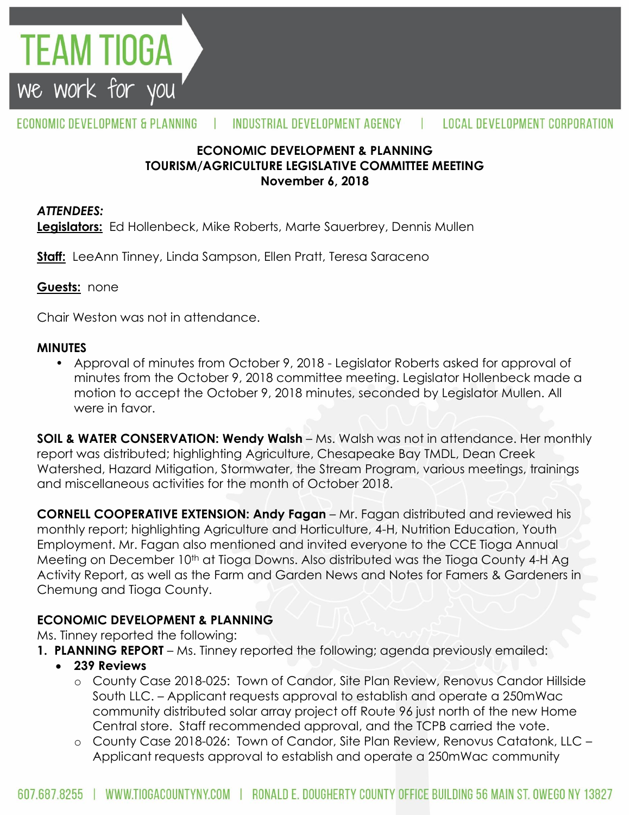

#### ECONOMIC DEVELOPMENT & PLANNING INDUSTRIAL DEVELOPMENT AGENCY  $\mathbf{L}$ **LOCAL DEVELOPMENT CORPORATION**

#### **ECONOMIC DEVELOPMENT & PLANNING TOURISM/AGRICULTURE LEGISLATIVE COMMITTEE MEETING November 6, 2018**

#### *ATTENDEES:*

**Legislators:** Ed Hollenbeck, Mike Roberts, Marte Sauerbrey, Dennis Mullen

**Staff:** LeeAnn Tinney, Linda Sampson, Ellen Pratt, Teresa Saraceno

#### **Guests:** none

Chair Weston was not in attendance.

#### **MINUTES**

• Approval of minutes from October 9, 2018 - Legislator Roberts asked for approval of minutes from the October 9, 2018 committee meeting. Legislator Hollenbeck made a motion to accept the October 9, 2018 minutes, seconded by Legislator Mullen. All were in favor.

**SOIL & WATER CONSERVATION: Wendy Walsh** – Ms. Walsh was not in attendance. Her monthly report was distributed; highlighting Agriculture, Chesapeake Bay TMDL, Dean Creek Watershed, Hazard Mitigation, Stormwater, the Stream Program, various meetings, trainings and miscellaneous activities for the month of October 2018.

**CORNELL COOPERATIVE EXTENSION: Andy Fagan** – Mr. Fagan distributed and reviewed his monthly report; highlighting Agriculture and Horticulture, 4-H, Nutrition Education, Youth Employment. Mr. Fagan also mentioned and invited everyone to the CCE Tioga Annual Meeting on December 10<sup>th</sup> at Tioga Downs. Also distributed was the Tioga County 4-H Ag Activity Report, as well as the Farm and Garden News and Notes for Famers & Gardeners in Chemung and Tioga County.

## **ECONOMIC DEVELOPMENT & PLANNING**

Ms. Tinney reported the following:

- **1. PLANNING REPORT** Ms. Tinney reported the following; agenda previously emailed:
	- **239 Reviews**
		- o County Case 2018-025: Town of Candor, Site Plan Review, Renovus Candor Hillside South LLC. – Applicant requests approval to establish and operate a 250mWac community distributed solar array project off Route 96 just north of the new Home Central store. Staff recommended approval, and the TCPB carried the vote.
		- o County Case 2018-026: Town of Candor, Site Plan Review, Renovus Catatonk, LLC Applicant requests approval to establish and operate a 250mWac community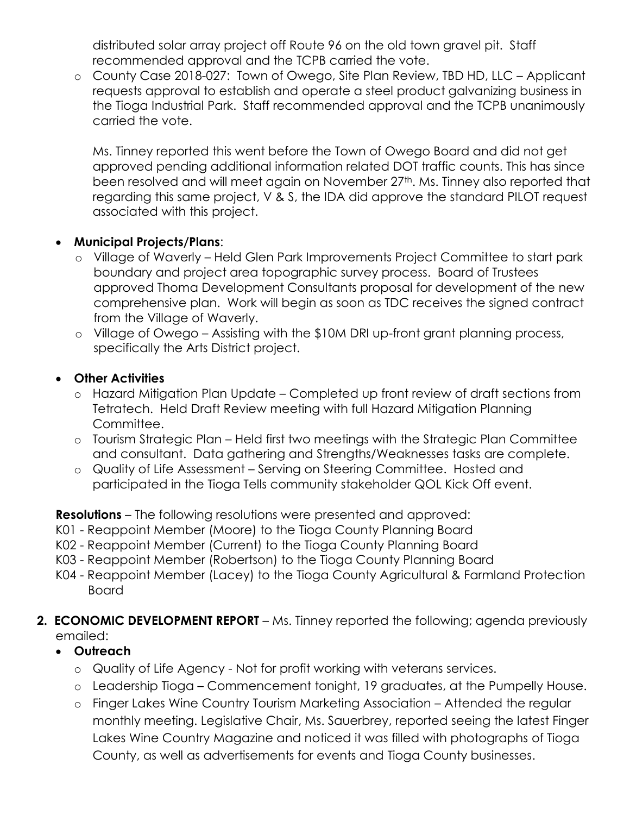distributed solar array project off Route 96 on the old town gravel pit. Staff recommended approval and the TCPB carried the vote.

o County Case 2018-027: Town of Owego, Site Plan Review, TBD HD, LLC – Applicant requests approval to establish and operate a steel product galvanizing business in the Tioga Industrial Park. Staff recommended approval and the TCPB unanimously carried the vote.

Ms. Tinney reported this went before the Town of Owego Board and did not get approved pending additional information related DOT traffic counts. This has since been resolved and will meet again on November 27<sup>th</sup>. Ms. Tinney also reported that regarding this same project, V & S, the IDA did approve the standard PILOT request associated with this project.

### **Municipal Projects/Plans**:

- o Village of Waverly Held Glen Park Improvements Project Committee to start park boundary and project area topographic survey process. Board of Trustees approved Thoma Development Consultants proposal for development of the new comprehensive plan. Work will begin as soon as TDC receives the signed contract from the Village of Waverly.
- o Village of Owego Assisting with the \$10M DRI up-front grant planning process, specifically the Arts District project.

## **Other Activities**

- o Hazard Mitigation Plan Update Completed up front review of draft sections from Tetratech. Held Draft Review meeting with full Hazard Mitigation Planning Committee.
- o Tourism Strategic Plan Held first two meetings with the Strategic Plan Committee and consultant. Data gathering and Strengths/Weaknesses tasks are complete.
- o Quality of Life Assessment Serving on Steering Committee. Hosted and participated in the Tioga Tells community stakeholder QOL Kick Off event.

## **Resolutions** – The following resolutions were presented and approved:

- K01 Reappoint Member (Moore) to the Tioga County Planning Board
- K02 Reappoint Member (Current) to the Tioga County Planning Board
- K03 Reappoint Member (Robertson) to the Tioga County Planning Board
- K04 Reappoint Member (Lacey) to the Tioga County Agricultural & Farmland Protection Board

## **2. ECONOMIC DEVELOPMENT REPORT** – Ms. Tinney reported the following; agenda previously emailed:

- **Outreach**
	- o Quality of Life Agency Not for profit working with veterans services.
	- o Leadership Tioga Commencement tonight, 19 graduates, at the Pumpelly House.
	- o Finger Lakes Wine Country Tourism Marketing Association Attended the regular monthly meeting. Legislative Chair, Ms. Sauerbrey, reported seeing the latest Finger Lakes Wine Country Magazine and noticed it was filled with photographs of Tioga County, as well as advertisements for events and Tioga County businesses.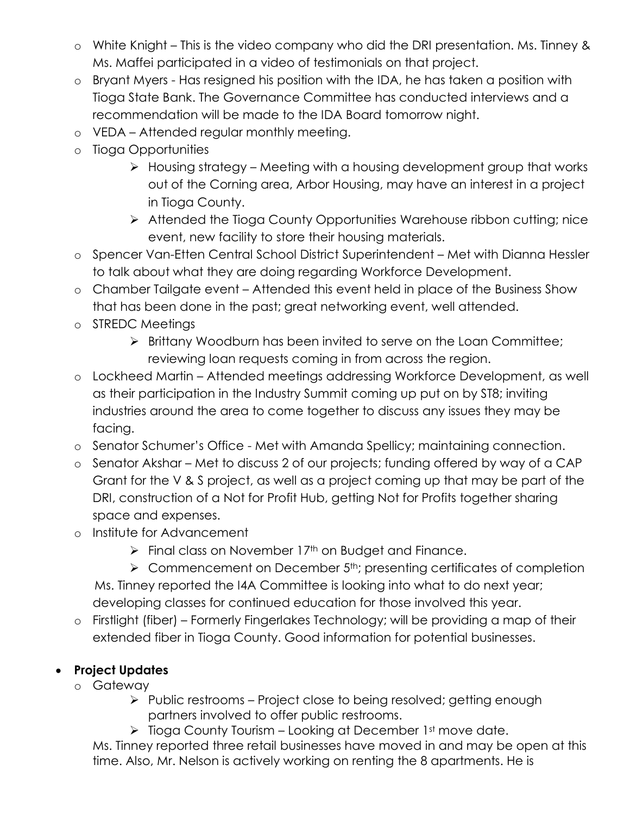- o White Knight This is the video company who did the DRI presentation. Ms. Tinney & Ms. Maffei participated in a video of testimonials on that project.
- o Bryant Myers Has resigned his position with the IDA, he has taken a position with Tioga State Bank. The Governance Committee has conducted interviews and a recommendation will be made to the IDA Board tomorrow night.
- o VEDA Attended regular monthly meeting.
- o Tioga Opportunities
	- $\triangleright$  Housing strategy Meeting with a housing development group that works out of the Corning area, Arbor Housing, may have an interest in a project in Tioga County.
	- > Attended the Tioga County Opportunities Warehouse ribbon cutting; nice event, new facility to store their housing materials.
- o Spencer Van-Etten Central School District Superintendent Met with Dianna Hessler to talk about what they are doing regarding Workforce Development.
- o Chamber Tailgate event Attended this event held in place of the Business Show that has been done in the past; great networking event, well attended.
- o STREDC Meetings
	- > Brittany Woodburn has been invited to serve on the Loan Committee; reviewing loan requests coming in from across the region.
- o Lockheed Martin Attended meetings addressing Workforce Development, as well as their participation in the Industry Summit coming up put on by ST8; inviting industries around the area to come together to discuss any issues they may be facing.
- o Senator Schumer's Office Met with Amanda Spellicy; maintaining connection.
- o Senator Akshar Met to discuss 2 of our projects; funding offered by way of a CAP Grant for the V & S project, as well as a project coming up that may be part of the DRI, construction of a Not for Profit Hub, getting Not for Profits together sharing space and expenses.
- o Institute for Advancement
	- $\triangleright$  Final class on November 17<sup>th</sup> on Budget and Finance.
	- $\triangleright$  Commencement on December 5<sup>th</sup>; presenting certificates of completion

 Ms. Tinney reported the I4A Committee is looking into what to do next year; developing classes for continued education for those involved this year.

o Firstlight (fiber) – Formerly Fingerlakes Technology; will be providing a map of their extended fiber in Tioga County. Good information for potential businesses.

# **Project Updates**

- o Gateway
	- $\triangleright$  Public restrooms Project close to being resolved; getting enough partners involved to offer public restrooms.
	- $\triangleright$  Tioga County Tourism Looking at December 1st move date.

Ms. Tinney reported three retail businesses have moved in and may be open at this time. Also, Mr. Nelson is actively working on renting the 8 apartments. He is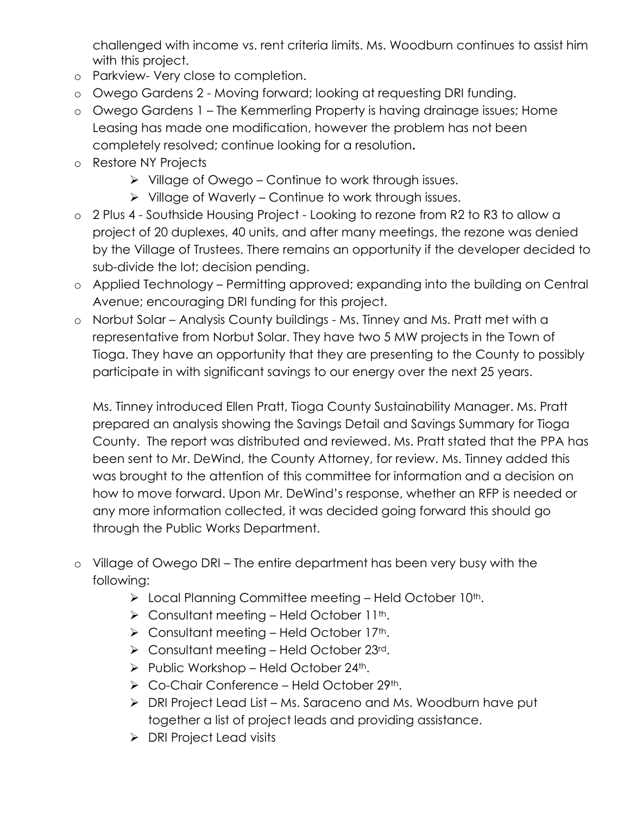challenged with income vs. rent criteria limits. Ms. Woodburn continues to assist him with this project.

- o Parkview- Very close to completion.
- o Owego Gardens 2 Moving forward; looking at requesting DRI funding.
- o Owego Gardens 1 The Kemmerling Property is having drainage issues; Home Leasing has made one modification, however the problem has not been completely resolved; continue looking for a resolution**.**
- o Restore NY Projects
	- $\triangleright$  Village of Owego Continue to work through issues.
	- $\triangleright$  Village of Waverly Continue to work through issues.
- o 2 Plus 4 Southside Housing Project Looking to rezone from R2 to R3 to allow a project of 20 duplexes, 40 units, and after many meetings, the rezone was denied by the Village of Trustees. There remains an opportunity if the developer decided to sub-divide the lot; decision pending.
- o Applied Technology Permitting approved; expanding into the building on Central Avenue; encouraging DRI funding for this project.
- o Norbut Solar Analysis County buildings Ms. Tinney and Ms. Pratt met with a representative from Norbut Solar. They have two 5 MW projects in the Town of Tioga. They have an opportunity that they are presenting to the County to possibly participate in with significant savings to our energy over the next 25 years.

Ms. Tinney introduced Ellen Pratt, Tioga County Sustainability Manager. Ms. Pratt prepared an analysis showing the Savings Detail and Savings Summary for Tioga County. The report was distributed and reviewed. Ms. Pratt stated that the PPA has been sent to Mr. DeWind, the County Attorney, for review. Ms. Tinney added this was brought to the attention of this committee for information and a decision on how to move forward. Upon Mr. DeWind's response, whether an RFP is needed or any more information collected, it was decided going forward this should go through the Public Works Department.

- o Village of Owego DRI The entire department has been very busy with the following:
	- $\triangleright$  Local Planning Committee meeting Held October 10<sup>th</sup>.
	- $\triangleright$  Consultant meeting Held October 11<sup>th</sup>.
	- $\triangleright$  Consultant meeting Held October 17<sup>th</sup>.
	- ▶ Consultant meeting Held October 23rd.
	- $\triangleright$  Public Workshop Held October 24<sup>th</sup>.
	- $\triangleright$  Co-Chair Conference Held October 29<sup>th</sup>.
	- ▶ DRI Project Lead List Ms. Saraceno and Ms. Woodburn have put together a list of project leads and providing assistance.
	- **▶ DRI Project Lead visits**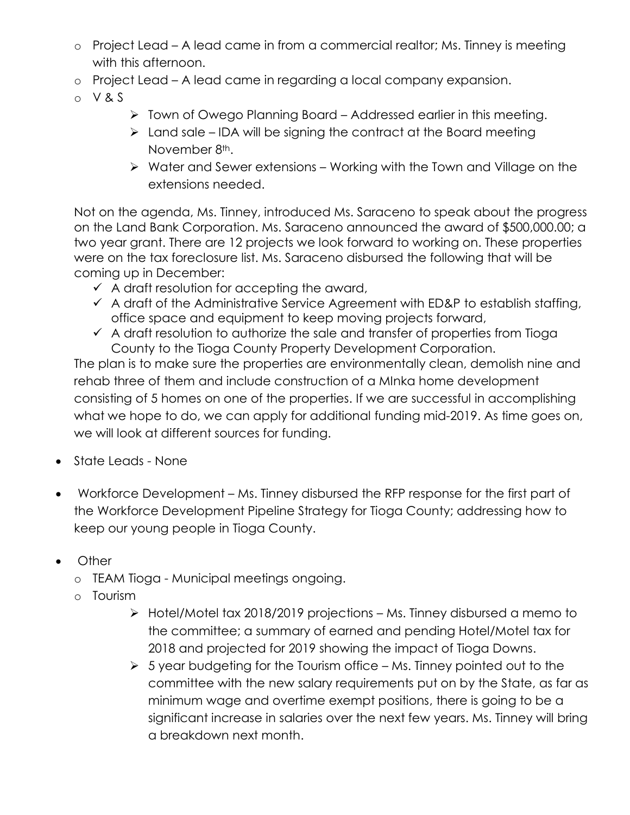- o Project Lead A lead came in from a commercial realtor; Ms. Tinney is meeting with this afternoon.
- o Project Lead A lead came in regarding a local company expansion.
- o V & S
- > Town of Owego Planning Board Addressed earlier in this meeting.
- $\triangleright$  Land sale IDA will be signing the contract at the Board meeting November 8<sup>th</sup>.
- $\triangleright$  Water and Sewer extensions Working with the Town and Village on the extensions needed.

Not on the agenda, Ms. Tinney, introduced Ms. Saraceno to speak about the progress on the Land Bank Corporation. Ms. Saraceno announced the award of \$500,000.00; a two year grant. There are 12 projects we look forward to working on. These properties were on the tax foreclosure list. Ms. Saraceno disbursed the following that will be coming up in December:

- $\checkmark$  A draft resolution for accepting the award,
- $\checkmark$  A draft of the Administrative Service Agreement with ED&P to establish staffing, office space and equipment to keep moving projects forward,
- $\checkmark$  A draft resolution to authorize the sale and transfer of properties from Tioga County to the Tioga County Property Development Corporation.

The plan is to make sure the properties are environmentally clean, demolish nine and rehab three of them and include construction of a MInka home development consisting of 5 homes on one of the properties. If we are successful in accomplishing what we hope to do, we can apply for additional funding mid-2019. As time goes on, we will look at different sources for funding.

- State Leads None
- Workforce Development Ms. Tinney disbursed the RFP response for the first part of the Workforce Development Pipeline Strategy for Tioga County; addressing how to keep our young people in Tioga County.
- Other
	- o TEAM Tioga Municipal meetings ongoing.
	- o Tourism
		- $\triangleright$  Hotel/Motel tax 2018/2019 projections Ms. Tinney disbursed a memo to the committee; a summary of earned and pending Hotel/Motel tax for 2018 and projected for 2019 showing the impact of Tioga Downs.
		- $5$  year budgeting for the Tourism office Ms. Tinney pointed out to the committee with the new salary requirements put on by the State, as far as minimum wage and overtime exempt positions, there is going to be a significant increase in salaries over the next few years. Ms. Tinney will bring a breakdown next month.